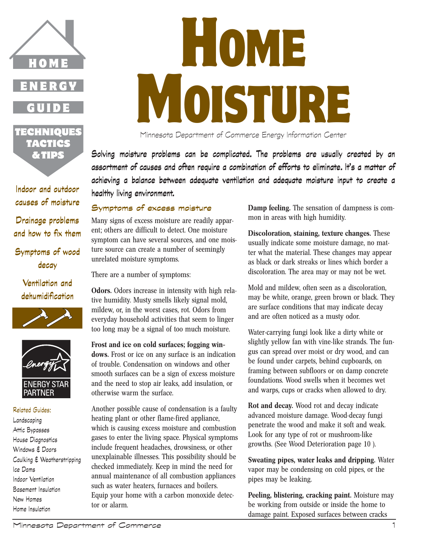

GUIDE

TECHNIQUES TACTICS & TIPS

**Indoor and outdoor causes of moisture**

**Drainage problems and how to fix them**

**Symptoms of wood decay**

**Ventilation and dehumidification**





## Related Guides: Landscaping Attic Bypasses House Diagnostics Windows & Doors Caulking & Weatherstripping Ice Dams Indoor Ventilation Basement Insulation New Homes Home Insulation

# **HOME** MOISTURE

Minnesota Department of Commerce Energy Information Center

**Solving moisture problems can be complicated. The problems are usually created by an assortment of causes and often require a combination of efforts to eliminate. It's a matter of achieving a balance between adequate ventilation and adequate moisture input to create a healthy living environment.**

# **Symptoms of excess moisture**

Many signs of excess moisture are readily apparent; others are difficult to detect. One moisture symptom can have several sources, and one moisture source can create a number of seemingly unrelated moisture symptoms.

There are a number of symptoms:

**Odors.** Odors increase in intensity with high relative humidity. Musty smells likely signal mold, mildew, or, in the worst cases, rot. Odors from everyday household activities that seem to linger too long may be a signal of too much moisture.

**Frost and ice on cold surfaces; fogging windows.** Frost or ice on any surface is an indication of trouble. Condensation on windows and other smooth surfaces can be a sign of excess moisture and the need to stop air leaks, add insulation, or otherwise warm the surface.

Another possible cause of condensation is a faulty heating plant or other flame-fired appliance, which is causing excess moisture and combustion gases to enter the living space. Physical symptoms include frequent headaches, drowsiness, or other unexplainable illnesses. This possibility should be checked immediately. Keep in mind the need for annual maintenance of all combustion appliances such as water heaters, furnaces and boilers. Equip your home with a carbon monoxide detector or alarm.

**Damp feeling.** The sensation of dampness is common in areas with high humidity.

**Discoloration, staining, texture changes.** These usually indicate some moisture damage, no matter what the material. These changes may appear as black or dark streaks or lines which border a discoloration. The area may or may not be wet.

Mold and mildew, often seen as a discoloration, may be white, orange, green brown or black. They are surface conditions that may indicate decay and are often noticed as a musty odor.

Water-carrying fungi look like a dirty white or slightly yellow fan with vine-like strands. The fungus can spread over moist or dry wood, and can be found under carpets, behind cupboards, on framing between subfloors or on damp concrete foundations. Wood swells when it becomes wet and warps, cups or cracks when allowed to dry.

**Rot and decay.** Wood rot and decay indicate advanced moisture damage. Wood-decay fungi penetrate the wood and make it soft and weak. Look for any type of rot or mushroom-like growths. (See Wood Deterioration page 10 ).

**Sweating pipes, water leaks and dripping.** Water vapor may be condensing on cold pipes, or the pipes may be leaking.

**Peeling, blistering, cracking paint.** Moisture may be working from outside or inside the home to damage paint. Exposed surfaces between cracks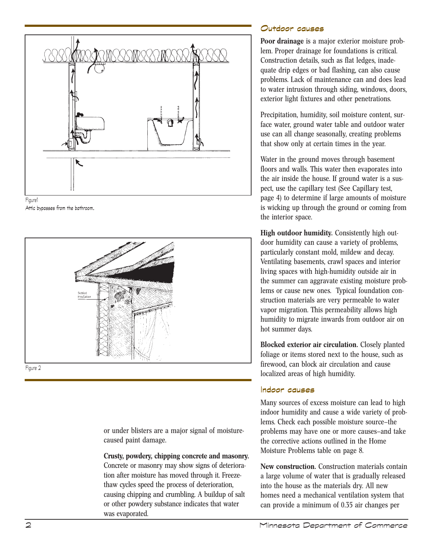





or under blisters are a major signal of moisturecaused paint damage.

## **Crusty, powdery, chipping concrete and masonry.**

Concrete or masonry may show signs of deterioration after moisture has moved through it. Freezethaw cycles speed the process of deterioration, causing chipping and crumbling. A buildup of salt or other powdery substance indicates that water was evaporated.

# **Outdoor causes**

**Poor drainage** is a major exterior moisture problem. Proper drainage for foundations is critical. Construction details, such as flat ledges, inadequate drip edges or bad flashing, can also cause problems. Lack of maintenance can and does lead to water intrusion through siding, windows, doors, exterior light fixtures and other penetrations.

Precipitation, humidity, soil moisture content, surface water, ground water table and outdoor water use can all change seasonally, creating problems that show only at certain times in the year.

Water in the ground moves through basement floors and walls. This water then evaporates into the air inside the house. If ground water is a suspect, use the capillary test (See Capillary test, page 4) to determine if large amounts of moisture is wicking up through the ground or coming from the interior space.

**High outdoor humidity.** Consistently high outdoor humidity can cause a variety of problems, particularly constant mold, mildew and decay. Ventilating basements, crawl spaces and interior living spaces with high-humidity outside air in the summer can aggravate existing moisture problems or cause new ones. Typical foundation construction materials are very permeable to water vapor migration. This permeability allows high humidity to migrate inwards from outdoor air on hot summer days.

**Blocked exterior air circulation.** Closely planted foliage or items stored next to the house, such as firewood, can block air circulation and cause localized areas of high humidity.

## **Indoor causes**

Many sources of excess moisture can lead to high indoor humidity and cause a wide variety of problems. Check each possible moisture source—the problems may have one or more causes—and take the corrective actions outlined in the Home Moisture Problems table on page 8.

**New construction.** Construction materials contain a large volume of water that is gradually released into the house as the materials dry. All new homes need a mechanical ventilation system that can provide a minimum of 0.35 air changes per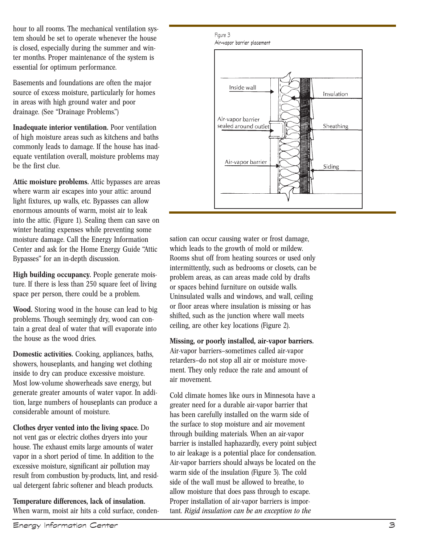hour to all rooms. The mechanical ventilation system should be set to operate whenever the house is closed, especially during the summer and winter months. Proper maintenance of the system is essential for optimum performance.

Basements and foundations are often the major source of excess moisture, particularly for homes in areas with high ground water and poor drainage. (See "Drainage Problems.")

**Inadequate interior ventilation.** Poor ventilation of high moisture areas such as kitchens and baths commonly leads to damage. If the house has inadequate ventilation overall, moisture problems may be the first clue.

**Attic moisture problems.** Attic bypasses are areas where warm air escapes into your attic: around light fixtures, up walls, etc. Bypasses can allow enormous amounts of warm, moist air to leak into the attic. (Figure 1). Sealing them can save on winter heating expenses while preventing some moisture damage. Call the Energy Information Center and ask for the Home Energy Guide "Attic Bypasses" for an in-depth discussion.

**High building occupancy.** People generate moisture. If there is less than 250 square feet of living space per person, there could be a problem.

**Wood.** Storing wood in the house can lead to big problems. Though seemingly dry, wood can contain a great deal of water that will evaporate into the house as the wood dries.

**Domestic activities.** Cooking, appliances, baths, showers, houseplants, and hanging wet clothing inside to dry can produce excessive moisture. Most low-volume showerheads save energy, but generate greater amounts of water vapor. In addition, large numbers of houseplants can produce a considerable amount of moisture.

**Clothes dryer vented into the living space.** Do not vent gas or electric clothes dryers into your house. The exhaust emits large amounts of water vapor in a short period of time. In addition to the excessive moisture, significant air pollution may result from combustion by-products, lint, and residual detergent fabric softener and bleach products.

**Temperature differences, lack of insulation.** When warm, moist air hits a cold surface, conden-

Figure 3 Air-vapor barrier placement



sation can occur causing water or frost damage, which leads to the growth of mold or mildew. Rooms shut off from heating sources or used only intermittently, such as bedrooms or closets, can be problem areas, as can areas made cold by drafts or spaces behind furniture on outside walls. Uninsulated walls and windows, and wall, ceiling or floor areas where insulation is missing or has shifted, such as the junction where wall meets ceiling, are other key locations (Figure 2).

**Missing, or poorly installed, air-vapor barriers.**

Air-vapor barriers—sometimes called air-vapor retarders—do not stop all air or moisture movement. They only reduce the rate and amount of air movement.

Cold climate homes like ours in Minnesota have a greater need for a durable air-vapor barrier that has been carefully installed on the warm side of the surface to stop moisture and air movement through building materials. When an air-vapor barrier is installed haphazardly, every point subject to air leakage is a potential place for condensation. Air-vapor barriers should always be located on the warm side of the insulation (Figure 3). The cold side of the wall must be allowed to breathe, to allow moisture that does pass through to escape. Proper installation of air-vapor barriers is important. *Rigid insulation can be an exception to the*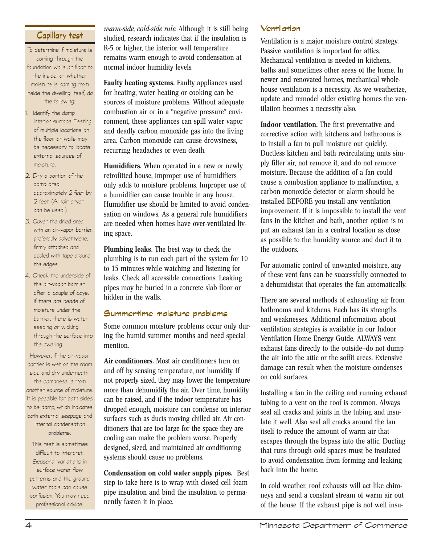# **Capillary test**

To determine if moisture is coming through the foundation walls or floor to the inside, or whether moisture is coming from inside the dwelling itself, do the following:

- 1. Identify the damp interior surface. Testing of multiple locations on the floor or walls may be necessary to locate external sources of moisture.
- 2. Dry a portion of the damp area approximately 2 feet by 2 feet. (A hair dryer can be used.)
- 3. Cover the dried area with an air-vapor barrier, preferably polyethylene, firmly attached and sealed with tape around the edges.
- 4. Check the underside of the air-vapor barrier after a couple of days. If there are beads of moisture under the barrier, there is water seeping or wicking through the surface into the dwelling.

However, if the air-vapor barrier is wet on the room side and dry underneath, the dampness is from another source of moisture. It is possible for both sides to be damp, which indicates both external seepage and internal condensation problems.

This test is sometimes difficult to interpret. Seasonal variations in surface water flow patterns and the ground water table can cause confusion. You may need professional advice.

*warm-side, cold-side rule.* Although it is still being studied, research indicates that if the insulation is R-5 or higher, the interior wall temperature remains warm enough to avoid condensation at normal indoor humidity levels.

**Faulty heating systems.** Faulty appliances used for heating, water heating or cooking can be sources of moisture problems. Without adequate combustion air or in a "negative pressure" environment, these appliances can spill water vapor and deadly carbon monoxide gas into the living area. Carbon monoxide can cause drowsiness, recurring headaches or even death.

**Humidifiers.** When operated in a new or newly retrofitted house, improper use of humidifiers only adds to moisture problems. Improper use of a humidifier can cause trouble in any house. Humidifier use should be limited to avoid condensation on windows. As a general rule humidifiers are needed when homes have over-ventilated living space.

**Plumbing leaks.** The best way to check the plumbing is to run each part of the system for 10 to 15 minutes while watching and listening for leaks. Check all accessible connections. Leaking pipes may be buried in a concrete slab floor or hidden in the walls.

## **Summertime moisture problems**

Some common moisture problems occur only during the humid summer months and need special mention.

**Air conditioners.** Most air conditioners turn on and off by sensing temperature, not humidity. If not properly sized, they may lower the temperature more than dehumidify the air. Over time, humidity can be raised, and if the indoor temperature has dropped enough, moisture can condense on interior surfaces such as ducts moving chilled air. Air conditioners that are too large for the space they are cooling can make the problem worse. Properly designed, sized, and maintained air conditioning systems should cause no problems.

**Condensation on cold water supply pipes.** Best step to take here is to wrap with closed cell foam pipe insulation and bind the insulation to permanently fasten it in place.

## **Ventilation**

Ventilation is a major moisture control strategy. Passive ventilation is important for attics. Mechanical ventilation is needed in kitchens, baths and sometimes other areas of the home. In newer and renovated homes, mechanical wholehouse ventilation is a necessity. As we weatherize, update and remodel older existing homes the ventilation becomes a necessity also.

**Indoor ventilation.** The first preventative and corrective action with kitchens and bathrooms is to install a fan to pull moisture out quickly. Ductless kitchen and bath recirculating units simply filter air, not remove it, and do not remove moisture. Because the addition of a fan could cause a combustion appliance to malfunction, a carbon monoxide detector or alarm should be installed BEFORE you install any ventilation improvement. If it is impossible to install the vent fans in the kitchen and bath, another option is to put an exhaust fan in a central location as close as possible to the humidity source and duct it to the outdoors.

For automatic control of unwanted moisture, any of these vent fans can be successfully connected to a dehumidistat that operates the fan automatically.

There are several methods of exhausting air from bathrooms and kitchens. Each has its strengths and weaknesses. Additional information about ventilation strategies is available in our Indoor Ventilation Home Energy Guide. ALWAYS vent exhaust fans directly to the outside—do not dump the air into the attic or the soffit areas. Extensive damage can result when the moisture condenses on cold surfaces.

Installing a fan in the ceiling and running exhaust tubing to a vent on the roof is common. Always seal all cracks and joints in the tubing and insulate it well. Also seal all cracks around the fan itself to reduce the amount of warm air that escapes through the bypass into the attic. Ducting that runs through cold spaces must be insulated to avoid condensation from forming and leaking back into the home.

In cold weather, roof exhausts will act like chimneys and send a constant stream of warm air out of the house. If the exhaust pipe is not well insu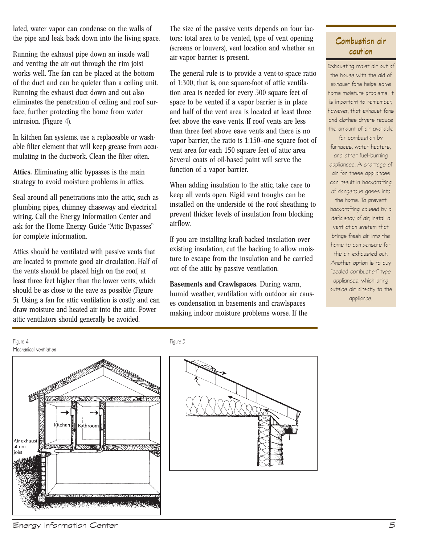lated, water vapor can condense on the walls of the pipe and leak back down into the living space.

Running the exhaust pipe down an inside wall and venting the air out through the rim joist works well. The fan can be placed at the bottom of the duct and can be quieter than a ceiling unit. Running the exhaust duct down and out also eliminates the penetration of ceiling and roof surface, further protecting the home from water intrusion. (Figure 4).

In kitchen fan systems, use a replaceable or washable filter element that will keep grease from accumulating in the ductwork. Clean the filter often.

**Attics.** Eliminating attic bypasses is the main strategy to avoid moisture problems in attics.

Seal around all penetrations into the attic, such as plumbing pipes, chimney chaseway and electrical wiring. Call the Energy Information Center and ask for the Home Energy Guide "Attic Bypasses" for complete information.

Attics should be ventilated with passive vents that are located to promote good air circulation. Half of the vents should be placed high on the roof, at least three feet higher than the lower vents, which should be as close to the eave as possible (Figure 5). Using a fan for attic ventilation is costly and can draw moisture and heated air into the attic. Power attic ventilators should generally be avoided.

The size of the passive vents depends on four factors: total area to be vented, type of vent opening (screens or louvers), vent location and whether an air-vapor barrier is present.

The general rule is to provide a vent-to-space ratio of 1:300; that is, one square-foot of attic ventilation area is needed for every 300 square feet of space to be vented if a vapor barrier is in place and half of the vent area is located at least three feet above the eave vents. If roof vents are less than three feet above eave vents and there is no vapor barrier, the ratio is 1:150–one square foot of vent area for each 150 square feet of attic area. Several coats of oil-based paint will serve the function of a vapor barrier.

When adding insulation to the attic, take care to keep all vents open. Rigid vent troughs can be installed on the underside of the roof sheathing to prevent thicker levels of insulation from blocking airflow.

If you are installing kraft-backed insulation over existing insulation, cut the backing to allow moisture to escape from the insulation and be carried out of the attic by passive ventilation.

**Basements and Crawlspaces.** During warm, humid weather, ventilation with outdoor air causes condensation in basements and crawlspaces making indoor moisture problems worse. If the



Exhausting moist air out of the house with the aid of exhaust fans helps solve home moisture problems. It is important to remember, however, that exhaust fans and clothes dryers reduce the amount of air available

for combustion by furnaces, water heaters, and other fuel-burning appliances. A shortage of air for these appliances can result in backdrafting of dangerous gases into

the home. To prevent backdrafting caused by a deficiency of air, install a ventilation system that brings fresh air into the home to compensate for the air exhausted out. Another option is to buy "sealed combustion" type appliances, which bring outside air directly to the appliance.





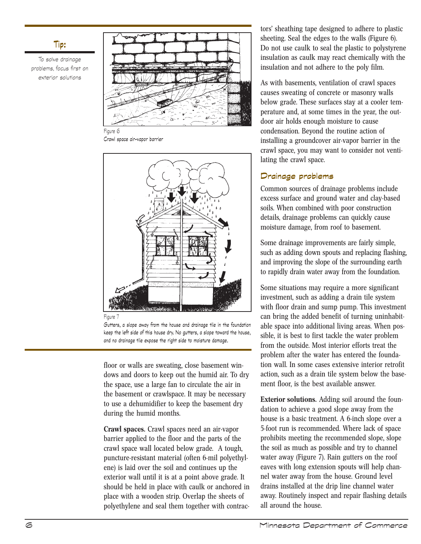## **Tip:**

To solve drainage problems, focus first on exterior solutions



Figure 6 Crawl space air-vapor barrier





Gutters, a slope away from the house and drainage tile in the foundation keep the left side of this house dry. No gutters, a slope toward the house, and no drainage tile expose the right side to moisture damage.

floor or walls are sweating, close basement windows and doors to keep out the humid air. To dry the space, use a large fan to circulate the air in the basement or crawlspace. It may be necessary to use a dehumidifier to keep the basement dry during the humid months.

**Crawl spaces.** Crawl spaces need an air-vapor barrier applied to the floor and the parts of the crawl space wall located below grade. A tough, puncture-resistant material (often 6-mil polyethylene) is laid over the soil and continues up the exterior wall until it is at a point above grade. It should be held in place with caulk or anchored in place with a wooden strip. Overlap the sheets of polyethylene and seal them together with contrac-

tors' sheathing tape designed to adhere to plastic sheeting. Seal the edges to the walls (Figure 6). Do not use caulk to seal the plastic to polystyrene insulation as caulk may react chemically with the insulation and not adhere to the poly film.

As with basements, ventilation of crawl spaces causes sweating of concrete or masonry walls below grade. These surfaces stay at a cooler temperature and, at some times in the year, the outdoor air holds enough moisture to cause condensation. Beyond the routine action of installing a groundcover air-vapor barrier in the crawl space, you may want to consider not ventilating the crawl space.

# **Drainage problems**

Common sources of drainage problems include excess surface and ground water and clay-based soils. When combined with poor construction details, drainage problems can quickly cause moisture damage, from roof to basement.

Some drainage improvements are fairly simple, such as adding down spouts and replacing flashing, and improving the slope of the surrounding earth to rapidly drain water away from the foundation.

Some situations may require a more significant investment, such as adding a drain tile system with floor drain and sump pump. This investment can bring the added benefit of turning uninhabitable space into additional living areas. When possible, it is best to first tackle the water problem from the outside. Most interior efforts treat the problem after the water has entered the foundation wall. In some cases extensive interior retrofit action, such as a drain tile system below the basement floor, is the best available answer.

**Exterior solutions.** Adding soil around the foundation to achieve a good slope away from the house is a basic treatment. A 6-inch slope over a 5-foot run is recommended. Where lack of space prohibits meeting the recommended slope, slope the soil as much as possible and try to channel water away (Figure 7). Rain gutters on the roof eaves with long extension spouts will help channel water away from the house. Ground level drains installed at the drip line channel water away. Routinely inspect and repair flashing details all around the house.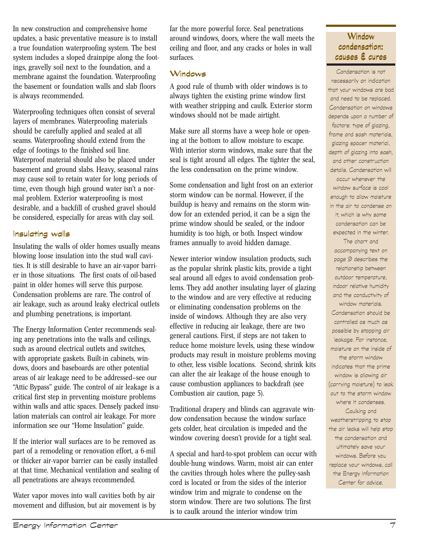In new construction and comprehensive home updates, a basic preventative measure is to install a true foundation waterproofing system. The best system includes a sloped drainpipe along the footings, gravelly soil next to the foundation, and a membrane against the foundation. Waterproofing the basement or foundation walls and slab floors is always recommended.

Waterproofing techniques often consist of several layers of membranes. Waterproofing materials should be carefully applied and sealed at all seams. Waterproofing should extend from the edge of footings to the finished soil line. Waterproof material should also be placed under basement and ground slabs. Heavy, seasonal rains may cause soil to retain water for long periods of time, even though high ground water isn't a normal problem. Exterior waterproofing is most desirable, and a backfill of crushed gravel should be considered, especially for areas with clay soil.

## **Insulating walls**

Insulating the walls of older homes usually means blowing loose insulation into the stud wall cavities. It is still desirable to have an air-vapor barrier in those situations. The first coats of oil-based paint in older homes will serve this purpose. Condensation problems are rare. The control of air leakage, such as around leaky electrical outlets and plumbing penetrations, is important.

The Energy Information Center recommends sealing any penetrations into the walls and ceilings, such as around electrical outlets and switches, with appropriate gaskets. Built-in cabinets, windows, doors and baseboards are other potential areas of air leakage need to be addressed—see our "Attic Bypass" guide. The control of air leakage is a critical first step in preventing moisture problems within walls and attic spaces. Densely packed insulation materials can control air leakage. For more information see our "Home Insulation" guide.

If the interior wall surfaces are to be removed as part of a remodeling or renovation effort, a 6-mil or thicker air-vapor barrier can be easily installed at that time. Mechanical ventilation and sealing of all penetrations are always recommended.

Water vapor moves into wall cavities both by air movement and diffusion, but air movement is by far the more powerful force. Seal penetrations around windows, doors, where the wall meets the ceiling and floor, and any cracks or holes in wall surfaces.

## **Windows**

A good rule of thumb with older windows is to always tighten the existing prime window first with weather stripping and caulk. Exterior storm windows should not be made airtight.

Make sure all storms have a weep hole or opening at the bottom to allow moisture to escape. With interior storm windows, make sure that the seal is tight around all edges. The tighter the seal, the less condensation on the prime window.

Some condensation and light frost on an exterior storm window can be normal. However, if the buildup is heavy and remains on the storm window for an extended period, it can be a sign the prime window should be sealed, or the indoor humidity is too high, or both. Inspect window frames annually to avoid hidden damage.

Newer interior window insulation products, such as the popular shrink plastic kits, provide a tight seal around all edges to avoid condensation problems. They add another insulating layer of glazing to the window and are very effective at reducing or eliminating condensation problems on the inside of windows. Although they are also very effective in reducing air leakage, there are two general cautions. First, if steps are not taken to reduce home moisture levels, using these window products may result in moisture problems moving to other, less visible locations. Second, shrink kits can alter the air leakage of the house enough to cause combustion appliances to backdraft (see Combustion air caution, page 5).

Traditional drapery and blinds can aggravate window condensation because the window surface gets colder, heat circulation is impeded and the window covering doesn't provide for a tight seal.

A special and hard-to-spot problem can occur with double-hung windows. Warm, moist air can enter the cavities through holes where the pulley-sash cord is located or from the sides of the interior window trim and migrate to condense on the storm window. There are two solutions. The first is to caulk around the interior window trim

Condensation is not necessarily an indication that your windows are bad and need to be replaced. Condensation on windows depends upon a number of factors: type of glazing, frame and sash materials, glazing spacer material, depth of glazing into sash, and other construction details. Condensation will occur whenever the window surface is cool enough to allow moisture in the air to condense on it, which is why some condensation can be expected in the winter.

The chart and accompanying text on page 9 describes the relationship between outdoor temperature, indoor relative humidity and the conductivity of window materials. Condensation should be controlled as much as possible by stopping air leakage. For instance, moisture on the inside of the storm window indicates that the prime window is allowing air (carrying moisture) to leak out to the storm window where it condenses. Caulking and weatherstripping to stop the air leaks will help stop the condensation and ultimately save your windows. Before you replace your windows, call the Energy Information Center for advice.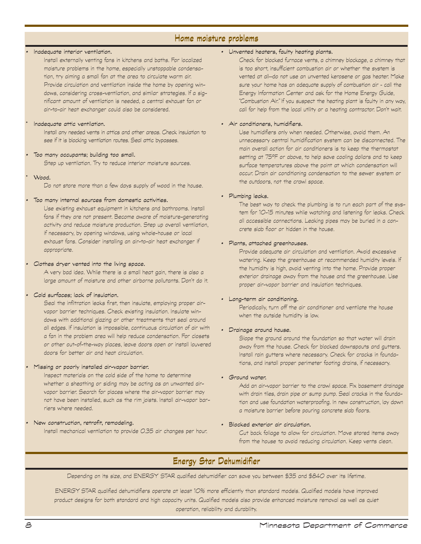## **Home moisture problems**

#### • Inadequate interior ventilation.

Install externally venting fans in kitchens and baths. For localized moisture problems in the home, especially unstoppable condensation, try aiming a small fan at the area to circulate warm air. Provide circulation and ventilation inside the home by opening windows, considering cross-ventilation, and similar strategies. If a significant amount of ventilation is needed, a central exhaust fan or air-to-air heat exchanger could also be considered.

#### Inadequate attic ventilation.

Install any needed vents in attics and other areas. Check insulation to see if it is blocking ventilation routes. Seal attic bypasses.

#### Too many occupants; building too small.

Step up ventilation. Try to reduce interior moisture sources.

Wood.

Do not store more than a few days supply of wood in the house.

#### • Too many internal sources from domestic activities.

Use existing exhaust equipment in kitchens and bathrooms. Install fans if they are not present. Become aware of moisture-generating activity and reduce moisture production. Step up overall ventilation, if necessary, by opening windows, using whole-house or local exhaust fans. Consider installing an air-to-air heat exchanger if appropriate.

#### • Clothes dryer vented into the living space.

A very bad idea. While there is a small heat gain, there is also a large amount of moisture and other airborne pollutants. Don't do it.

#### • Cold surfaces; lack of insulation.

Seal the infiltration leaks first, then insulate, employing proper airvapor barrier techniques. Check existing insulation. Insulate windows with additional glazing or other treatments that seal around all edges. If insulation is impossible, continuous circulation of air with a fan in the problem area will help reduce condensation. For closets or other out-of-the-way places, leave doors open or install louvered doors for better air and heat circulation.

#### • Missing or poorly installed air-vapor barrier.

Inspect materials on the cold side of the home to determine whether a sheathing or siding may be acting as an unwanted airvapor barrier. Search for places where the air-vapor barrier may not have been installed, such as the rim joists. Install air-vapor barriers where needed.

• New construction, retrofit, remodeling. Install mechanical ventilation to provide 0.35 air changes per hour.

#### • Unvented heaters, faulty heating plants.

Check for blocked furnace vents, a chimney blockage, a chimney that is too short, insufficient combustion air or whether the system is vented at all—do not use an unvented kerosene or gas heater. Make sure your home has an adequate supply of combustion air – call the Energy Information Center and ask for the Home Energy Guide, "Combustion Air." If you suspect the heating plant is faulty in any way, call for help from the local utility or a heating contractor. Don't wait.

#### • Air conditioners, humidifiers.

Use humidifiers only when needed. Otherwise, avoid them. An unnecessary central humidification system can be disconnected. The main overall action for air conditioners is to keep the thermostat setting at 75ºF or above, to help save cooling dollars and to keep surface temperatures above the point at which condensation will occur. Drain air conditioning condensation to the sewer system or the outdoors, not the crawl space.

#### • Plumbing leaks.

The best way to check the plumbing is to run each part of the system for 10-15 minutes while watching and listening for leaks. Check all accessible connections. Leaking pipes may be buried in a concrete slab floor or hidden in the house.

#### • Plants, attached greenhouses.

Provide adequate air circulation and ventilation. Avoid excessive watering. Keep the greenhouse at recommended humidity levels. If the humidity is high, avoid venting into the home. Provide proper exterior drainage away from the house and the greenhouse. Use proper air-vapor barrier and insulation techniques.

#### • Long-term air conditioning.

Periodically, turn off the air conditioner and ventilate the house when the outside humidity is low.

#### • Drainage around house.

Slope the ground around the foundation so that water will drain away from the house. Check for blocked downspouts and gutters. Install rain gutters where necessary. Check for cracks in foundations, and install proper perimeter footing drains, if necessary.

#### • Ground water.

Add an air-vapor barrier to the crawl space. Fix basement drainage with drain tiles, drain pipe or sump pump. Seal cracks in the foundation and use foundation waterproofing. In new construction, lay down a moisture barrier before pouring concrete slab floors.

#### • Blocked exterior air circulation.

Cut back foliage to allow for circulation. Move stored items away from the house to avoid reducing circulation. Keep vents clean.

# **Energy Star Dehumidifier**

Depending on its size, and ENERGY STAR qualified dehumidifier can save you between \$35 and \$840 over its lifetime.

ENERGY STAR qualified dehumidifiers operate at least 10% more efficiently than standard models. Qualified models have improved product designs for both standard and high capacity units. Qualified models also provide enhanced moisture removal as well as quiet operation, reliability and durability.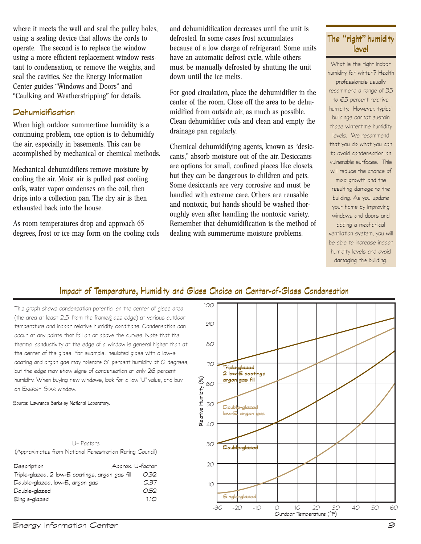where it meets the wall and seal the pulley holes, using a sealing device that allows the cords to operate. The second is to replace the window using a more efficient replacement window resistant to condensation, or remove the weights, and seal the cavities. See the Energy Information Center guides "Windows and Doors" and "Caulking and Weatherstripping" for details.

## **Dehumidification**

When high outdoor summertime humidity is a continuing problem, one option is to dehumidify the air, especially in basements. This can be accomplished by mechanical or chemical methods.

Mechanical dehumidifiers remove moisture by cooling the air. Moist air is pulled past cooling coils, water vapor condenses on the coil, then drips into a collection pan. The dry air is then exhausted back into the house.

As room temperatures drop and approach 65 degrees, frost or ice may form on the cooling coils and dehumidification decreases until the unit is defrosted. In some cases frost accumulates because of a low charge of refrigerant. Some units have an automatic defrost cycle, while others must be manually defrosted by shutting the unit down until the ice melts.

For good circulation, place the dehumidifier in the center of the room. Close off the area to be dehumidified from outside air, as much as possible. Clean dehumidifier coils and clean and empty the drainage pan regularly.

Chemical dehumidifying agents, known as "desiccants," absorb moisture out of the air. Desiccants are options for small, confined places like closets, but they can be dangerous to children and pets. Some desiccants are very corrosive and must be handled with extreme care. Others are reusable and nontoxic, but hands should be washed thoroughly even after handling the nontoxic variety. Remember that dehumidification is the method of dealing with summertime moisture problems.

# **The "right" humidity level**

What is the right indoor humidity for winter? Health professionals usually recommend a range of 35 to 65 percent relative humidity. However, typical buildings cannot sustain those wintertime humidity levels. We recommend that you do what you can to avoid condensation on vulnerable surfaces. This will reduce the chance of mold growth and the resulting damage to the building. As you update your home by improving windows and doors and adding a mechanical ventilation system, you will be able to increase indoor

humidity levels and avoid damaging the building.

# **Impact of Temperature, Humidity and Glass Choice on Center-of-Glass Condensation**

This graph shows condensation potential on the center of glass area (the area at least 2.5" from the frame/glass edge) at various outdoor temperature and indoor relative humidity conditions. Condensation can occur at any points that fall on or above the curves. Note that the thermal conductivity at the edge of a window is general higher than at the center of the glass. For example, insulated glass with a low-e coating and argon gas may tolerate 61 percent humidity at O degrees, but the edge may show signs of condensation at only 26 percent humidity. When buying new windows, look for a low "U" value, and buy an ENERGY STAR window.

Source: Lawrence Berkeley National Laboratory.

U- Factors (Approximates from National Fenestration Rating Council)

| Description                                     | Approx. U-factor |
|-------------------------------------------------|------------------|
| Triple-glazed, 2 low-E coatings, argon gas fill | 0.32             |
| Double-glazed, low-E, argon gas                 | 0.37             |
| Double-glazed                                   | 0.52             |
| Single-glazed                                   | 1.10             |
|                                                 |                  |

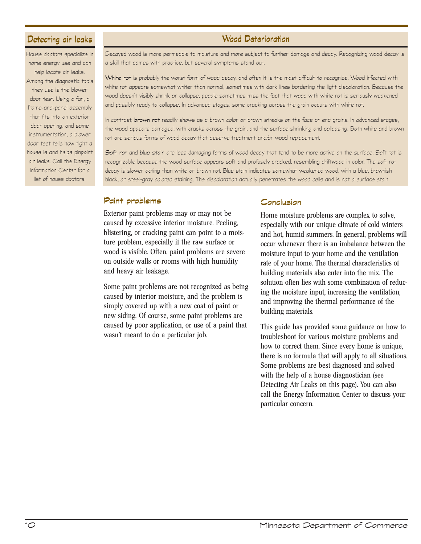## **Detecting air leaks**

House doctors specialize in home energy use and can help locate air leaks. Among the diagnostic tools they use is the blower door test. Using a fan, a frame-and-panel assembly that fits into an exterior door opening, and some instrumentation, a blower door test tells how tight a house is and helps pinpoint air leaks. Call the Energy Information Center for a list of house doctors.

# **Wood Deterioration**

Decayed wood is more permeable to moisture and more subject to further damage and decay. Recognizing wood decay is a skill that comes with practice, but several symptoms stand out.

White rot is probably the worst form of wood decay, and often it is the most difficult to recognize. Wood infected with white rot appears somewhat whiter than normal, sometimes with dark lines bordering the light discoloration. Because the wood doesn't visibly shrink or collapse, people sometimes miss the fact that wood with white rot is seriously weakened and possibly ready to collapse. In advanced stages, some cracking across the grain occurs with white rot.

In contrast, brown rot readily shows as a brown color or brown streaks on the face or end grains. In advanced stages, the wood appears damaged, with cracks across the grain, and the surface shrinking and collapsing. Both white and brown rot are serious forms of wood decay that deserve treatment and/or wood replacement.

Soft rot and blue stain are less damaging forms of wood decay that tend to be more active on the surface. Soft rot is recognizable because the wood surface appears soft and profusely cracked, resembling driftwood in color. The soft rot decay is slower acting than white or brown rot. Blue stain indicates somewhat weakened wood, with a blue, brownish black, or steel-gray colored staining. The discoloration actually penetrates the wood cells and is not a surface stain.

## **Paint problems**

Exterior paint problems may or may not be caused by excessive interior moisture. Peeling, blistering, or cracking paint can point to a moisture problem, especially if the raw surface or wood is visible. Often, paint problems are severe on outside walls or rooms with high humidity and heavy air leakage.

Some paint problems are not recognized as being caused by interior moisture, and the problem is simply covered up with a new coat of paint or new siding. Of course, some paint problems are caused by poor application, or use of a paint that wasn't meant to do a particular job.

## **Conclusion**

Home moisture problems are complex to solve, especially with our unique climate of cold winters and hot, humid summers. In general, problems will occur whenever there is an imbalance between the moisture input to your home and the ventilation rate of your home. The thermal characteristics of building materials also enter into the mix. The solution often lies with some combination of reducing the moisture input, increasing the ventilation, and improving the thermal performance of the building materials.

This guide has provided some guidance on how to troubleshoot for various moisture problems and how to correct them. Since every home is unique, there is no formula that will apply to all situations. Some problems are best diagnosed and solved with the help of a house diagnostician (see Detecting Air Leaks on this page). You can also call the Energy Information Center to discuss your particular concern.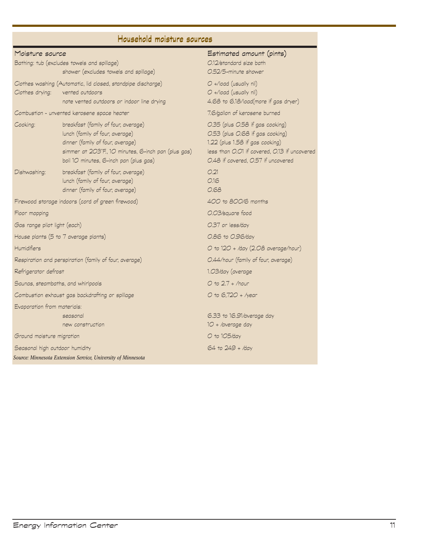# **Household moisture sources**

## Moisture source Estimated amount (pints)

| Bathing: tub (excludes towels and spillage)            |                                                                                                                                                                                                             | 0.12/standard size bath                                                                                                                                                                     |
|--------------------------------------------------------|-------------------------------------------------------------------------------------------------------------------------------------------------------------------------------------------------------------|---------------------------------------------------------------------------------------------------------------------------------------------------------------------------------------------|
|                                                        | shower (excludes towels and spillage)                                                                                                                                                                       | O.52/5-minute shower                                                                                                                                                                        |
| Clothes drying:                                        | Clothes washing (Automatic, lid closed, standpipe discharge)<br>vented outdoors<br>note vented outdoors or indoor line drying                                                                               | $O +$ /load (usually nil)<br>O +/load (usually nil)<br>4.68 to 6.18/load(more if gas dryer)                                                                                                 |
| Combustion - unvented kerosene space heater            |                                                                                                                                                                                                             | 7.6/gallon of kerosene burned                                                                                                                                                               |
| Cooking:                                               | breakfast (family of four, average)<br>lunch (family of four, average)<br>dinner (family of four, average)<br>simmer at 203°F., 10 minutes, 6-inch pan (plus gas)<br>boil 10 minutes, 6-inch pan (plus gas) | 0.35 (plus 0.58 if gas cooking)<br>0.53 (plus 0.68 if gas cooking)<br>1.22 (plus 1.58 if gas cooking)<br>less than O.O1 if covered, O.13 if uncovered<br>O.48 if covered, O.57 if uncovered |
| Dishwashing:                                           | breakfast (family of four, average)<br>lunch (family of four, average)<br>dinner (family of four, average)                                                                                                  | O.21<br>O.16<br>0.68                                                                                                                                                                        |
|                                                        | Firewood storage indoors (cord of green firewood)                                                                                                                                                           | 400 to 800/6 months                                                                                                                                                                         |
| Floor mopping                                          |                                                                                                                                                                                                             | 0.03/square food                                                                                                                                                                            |
| Gas range pilot light (each)                           |                                                                                                                                                                                                             | 0.37 or less/day                                                                                                                                                                            |
| House plants (5 to 7 average plants)                   |                                                                                                                                                                                                             | 0.86 to 0.96/day                                                                                                                                                                            |
| <b>Humidifiers</b>                                     |                                                                                                                                                                                                             | O to 12O + /day (2.08 average/hour)                                                                                                                                                         |
| Respiration and perspiration (family of four, average) |                                                                                                                                                                                                             | O.44/hour (family of four, average)                                                                                                                                                         |
| Refrigerator defrost                                   |                                                                                                                                                                                                             | 1.03/day (average                                                                                                                                                                           |
| Saunas, steambaths, and whirlpools                     |                                                                                                                                                                                                             | $O$ to $2.7$ + /hour                                                                                                                                                                        |
| Combustion exhaust gas backdrafting or spillage        |                                                                                                                                                                                                             | $O$ to 6,720 + /year                                                                                                                                                                        |
| Evaporation from materials:                            |                                                                                                                                                                                                             |                                                                                                                                                                                             |
|                                                        | seasonal<br>new construction                                                                                                                                                                                | 6.33 to 16.91/average day<br>10 + /average day                                                                                                                                              |
| Ground moisture migration                              |                                                                                                                                                                                                             | $O$ to 105/day                                                                                                                                                                              |
| Seasonal high outdoor humidity                         |                                                                                                                                                                                                             | $64$ to $249 +$ /day                                                                                                                                                                        |
|                                                        | Source: Minnesota Extension Service, University of Minnesota                                                                                                                                                |                                                                                                                                                                                             |